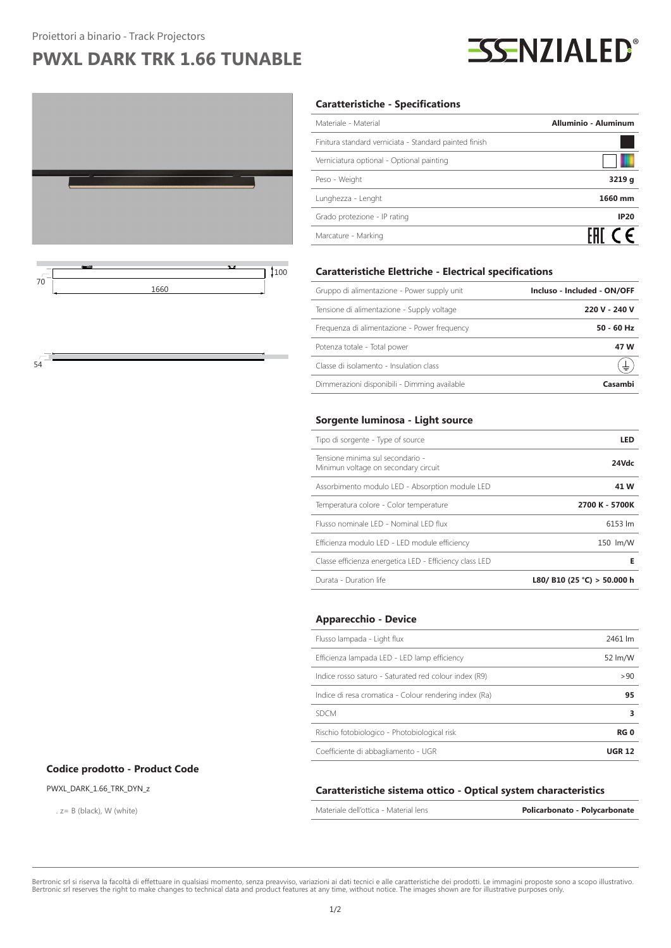## **PWXL DARK TRK 1.66 TUNABLE**





54

#### **Caratteristiche - Specifications**

| Materiale - Material                                   | <b>Alluminio - Aluminum</b> |
|--------------------------------------------------------|-----------------------------|
| Finitura standard verniciata - Standard painted finish |                             |
| Verniciatura optional - Optional painting              |                             |
| Peso - Weight                                          | 3219 g                      |
| Lunghezza - Lenght                                     | 1660 mm                     |
| Grado protezione - IP rating                           | <b>IP20</b>                 |
| Marcature - Marking                                    | FAI CE                      |
|                                                        |                             |

| Gruppo di alimentazione - Power supply unit  | Incluso - Included - ON/OFF |
|----------------------------------------------|-----------------------------|
| Tensione di alimentazione - Supply voltage   | 220 V - 240 V               |
| Frequenza di alimentazione - Power frequency | $50 - 60$ Hz                |
| Potenza totale - Total power                 | 47 W                        |
| Classe di isolamento - Insulation class      | ±                           |
| Dimmerazioni disponibili - Dimming available | Casambi                     |

**Caratteristiche Elettriche - Electrical specifications**

#### **Sorgente luminosa - Light source**

| Tipo di sorgente - Type of source                                        | LED                         |
|--------------------------------------------------------------------------|-----------------------------|
| Tensione minima sul secondario -<br>Minimun voltage on secondary circuit | 24Vdc                       |
| Assorbimento modulo LED - Absorption module LED                          | 41 W                        |
| Temperatura colore - Color temperature                                   | 2700 K - 5700K              |
| Flusso nominale LED - Nominal LED flux                                   | 6153 lm                     |
| Efficienza modulo LED - LED module efficiency                            | 150 lm/W                    |
| Classe efficienza energetica LED - Efficiency class LED                  | Е                           |
| Durata - Duration life                                                   | L80/ B10 (25 °C) > 50.000 h |

#### **Apparecchio - Device**

| Flusso lampada - Light flux                            | 2461 lm       |
|--------------------------------------------------------|---------------|
| Efficienza lampada LED - LED lamp efficiency           | 52 lm/W       |
| Indice rosso saturo - Saturated red colour index (R9)  | >90           |
| Indice di resa cromatica - Colour rendering index (Ra) | 95            |
| <b>SDCM</b>                                            | з             |
| Rischio fotobiologico - Photobiological risk           | <b>RG0</b>    |
| Coefficiente di abbagliamento - UGR                    | <b>UGR 12</b> |

#### **Codice prodotto - Product Code**

#### PWXL\_DARK\_1.66\_TRK\_DYN\_z

. z= B (black), W (white)

#### **Caratteristiche sistema ottico - Optical system characteristics**

| Materiale dell'ottica - Material lens | Policarbonato - Polycarbonate |
|---------------------------------------|-------------------------------|
|---------------------------------------|-------------------------------|

Bertronic srl si riserva la facoltà di effettuare in qualsiasi momento, senza preavviso, variazioni ai dati tecnici e alle caratteristiche dei prodotti. Le immagini proposte sono a scopo illustrativo. Bertronic srl reserves the right to make changes to technical data and product features at any time, without notice. The images shown are for illustrative purposes only.

# **SSENZIALED®**